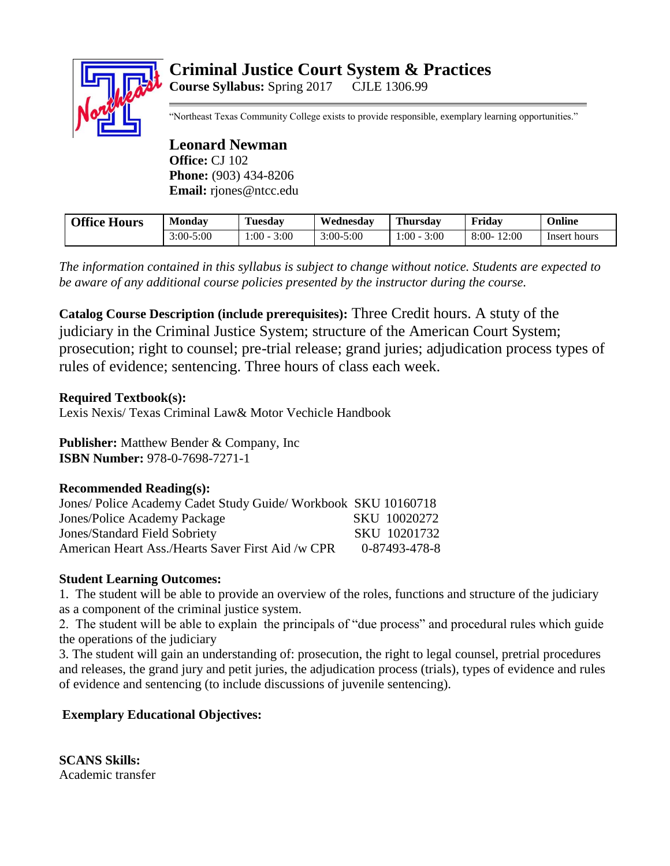# **Criminal Justice Court System & Practices Course Syllabus:** Spring 2017 CJLE 1306.99

"Northeast Texas Community College exists to provide responsible, exemplary learning opportunities."

**Leonard Newman Office:** CJ 102 **Phone:** (903) 434-8206 **Email:** rjones@ntcc.edu

| <b>Office Hours</b> | <b>Monday</b> | Tuesday          | Wednesday     | <b>Thursday</b> | Friday           | Online       |
|---------------------|---------------|------------------|---------------|-----------------|------------------|--------------|
|                     | $3:00 - 5:00$ | 3:00<br>$1:00 -$ | $3:00 - 5:00$ | $-00:$<br>3:00  | 12:00<br>$8:00-$ | Insert hours |

*The information contained in this syllabus is subject to change without notice. Students are expected to be aware of any additional course policies presented by the instructor during the course.*

**Catalog Course Description (include prerequisites):** Three Credit hours. A stuty of the judiciary in the Criminal Justice System; structure of the American Court System; prosecution; right to counsel; pre-trial release; grand juries; adjudication process types of rules of evidence; sentencing. Three hours of class each week.

## **Required Textbook(s):**

Lexis Nexis/ Texas Criminal Law& Motor Vechicle Handbook

**Publisher:** Matthew Bender & Company, Inc **ISBN Number:** 978-0-7698-7271-1

#### **Recommended Reading(s):**

| Jones/ Police Academy Cadet Study Guide/ Workbook SKU 10160718 |               |
|----------------------------------------------------------------|---------------|
| Jones/Police Academy Package                                   | SKU 10020272  |
| Jones/Standard Field Sobriety                                  | SKU 10201732  |
| American Heart Ass./Hearts Saver First Aid /w CPR              | 0-87493-478-8 |

## **Student Learning Outcomes:**

1. The student will be able to provide an overview of the roles, functions and structure of the judiciary as a component of the criminal justice system.

2. The student will be able to explain the principals of "due process" and procedural rules which guide the operations of the judiciary

3. The student will gain an understanding of: prosecution, the right to legal counsel, pretrial procedures and releases, the grand jury and petit juries, the adjudication process (trials), types of evidence and rules of evidence and sentencing (to include discussions of juvenile sentencing).

## **Exemplary Educational Objectives:**

**SCANS Skills:** Academic transfer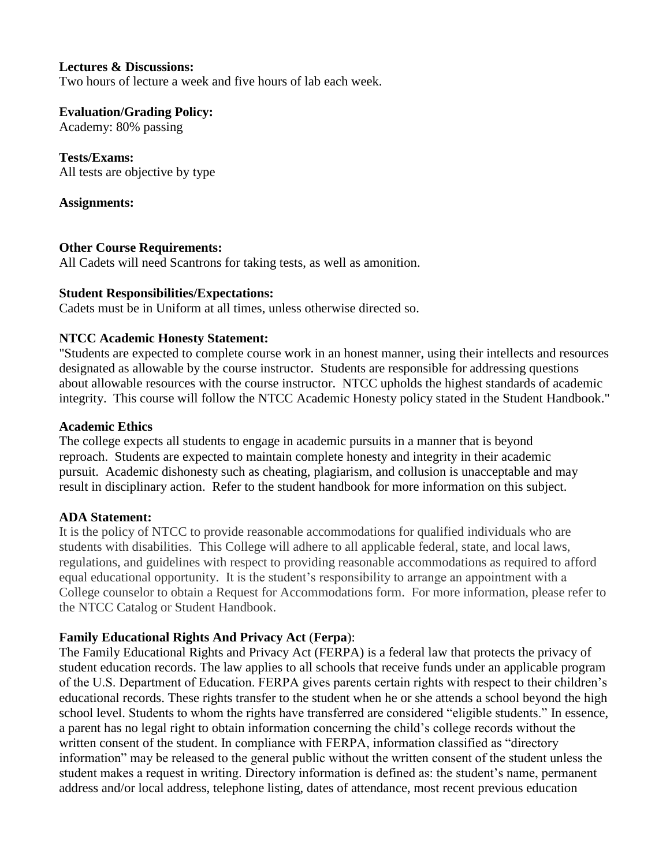#### **Lectures & Discussions:**

Two hours of lecture a week and five hours of lab each week.

**Evaluation/Grading Policy:**

Academy: 80% passing

**Tests/Exams:** All tests are objective by type

### **Assignments:**

### **Other Course Requirements:**

All Cadets will need Scantrons for taking tests, as well as amonition.

### **Student Responsibilities/Expectations:**

Cadets must be in Uniform at all times, unless otherwise directed so.

### **NTCC Academic Honesty Statement:**

"Students are expected to complete course work in an honest manner, using their intellects and resources designated as allowable by the course instructor. Students are responsible for addressing questions about allowable resources with the course instructor. NTCC upholds the highest standards of academic integrity. This course will follow the NTCC Academic Honesty policy stated in the Student Handbook."

### **Academic Ethics**

The college expects all students to engage in academic pursuits in a manner that is beyond reproach. Students are expected to maintain complete honesty and integrity in their academic pursuit. Academic dishonesty such as cheating, plagiarism, and collusion is unacceptable and may result in disciplinary action. Refer to the student handbook for more information on this subject.

## **ADA Statement:**

It is the policy of NTCC to provide reasonable accommodations for qualified individuals who are students with disabilities. This College will adhere to all applicable federal, state, and local laws, regulations, and guidelines with respect to providing reasonable accommodations as required to afford equal educational opportunity. It is the student's responsibility to arrange an appointment with a College counselor to obtain a Request for Accommodations form. For more information, please refer to the NTCC Catalog or Student Handbook.

## **Family Educational Rights And Privacy Act** (**Ferpa**):

The Family Educational Rights and Privacy Act (FERPA) is a federal law that protects the privacy of student education records. The law applies to all schools that receive funds under an applicable program of the U.S. Department of Education. FERPA gives parents certain rights with respect to their children's educational records. These rights transfer to the student when he or she attends a school beyond the high school level. Students to whom the rights have transferred are considered "eligible students." In essence, a parent has no legal right to obtain information concerning the child's college records without the written consent of the student. In compliance with FERPA, information classified as "directory information" may be released to the general public without the written consent of the student unless the student makes a request in writing. Directory information is defined as: the student's name, permanent address and/or local address, telephone listing, dates of attendance, most recent previous education